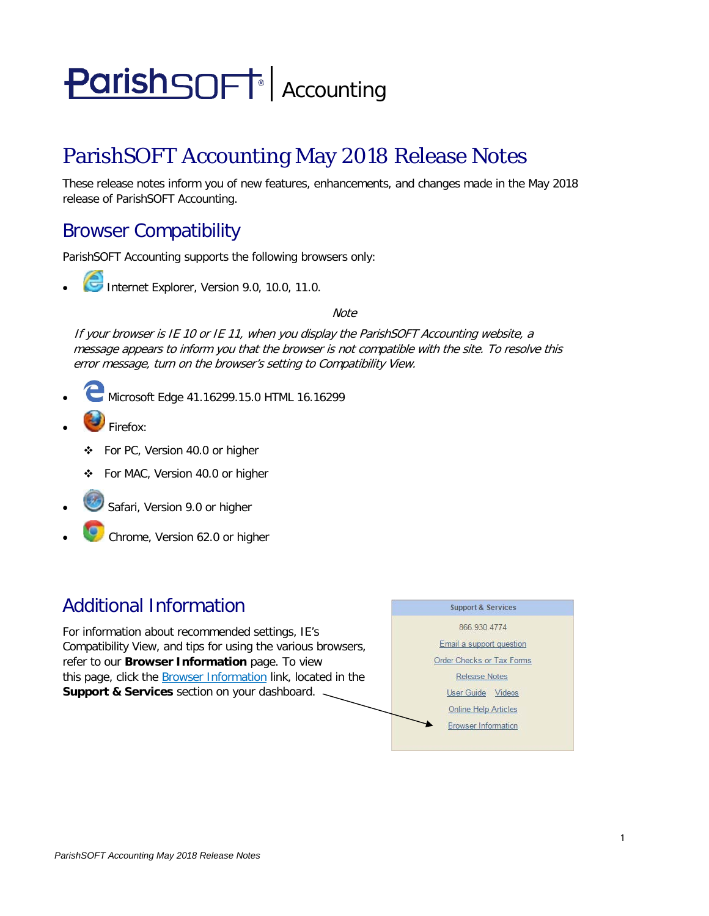# **ParishSOFT** Accounting

# ParishSOFT Accounting May 2018 Release Notes

These release notes inform you of new features, enhancements, and changes made in the May 2018 release of ParishSOFT Accounting.

## Browser Compatibility

ParishSOFT Accounting supports the following browsers only:

**• Internet Explorer, Version 9.0, 10.0, 11.0.** 

**Note** 

If your browser is IE 10 or IE 11, when you display the ParishSOFT Accounting website, a message appears to inform you that the browser is not compatible with the site. To resolve this error message, turn on the browser's setting to Compatibility View.

- Microsoft Edge 41.16299.15.0 HTML 16.16299
- Firefox:
	- For PC, Version 40.0 or higher
	- For MAC, Version 40.0 or higher
- Safari, Version 9.0 or higher
- Chrome, Version 62.0 or higher

### Additional Information

For information about recommended settings, IE's Compatibility View, and tips for using the various browsers, refer to our **Browser Information** page. To view this page, click the Browser Information link, located in the **Support & Services** section on your dashboard.

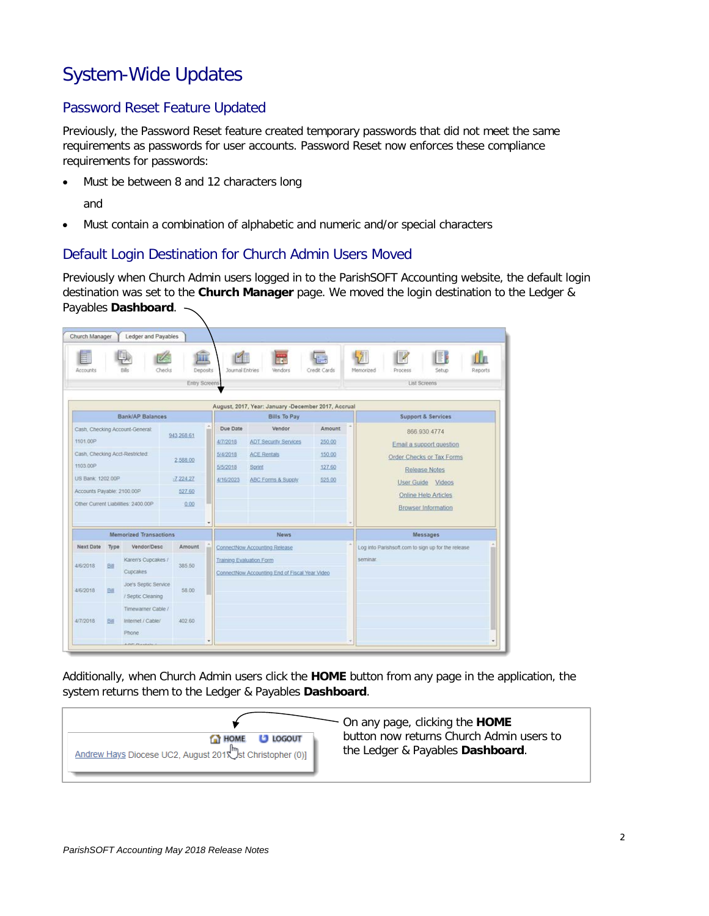## System-Wide Updates

#### Password Reset Feature Updated

Previously, the Password Reset feature created temporary passwords that did not meet the same requirements as passwords for user accounts. Password Reset now enforces these compliance requirements for passwords:

• Must be between 8 and 12 characters long

and

• Must contain a combination of alphabetic and numeric and/or special characters

#### Default Login Destination for Church Admin Users Moved

Previously when Church Admin users logged in to the ParishSOFT Accounting website, the default login destination was set to the **Church Manager** page. We moved the login destination to the Ledger & Payables **Dashboard**.

| Accounts                             |                                 |                                           | THE<br><b>Deposits</b><br>Checks | <b>Journal Entries</b>        | <b>Vendors</b>                                                                    | Credit Cards                              | IB<br>Memorized<br>Setup<br>Reports<br>Process     |  |
|--------------------------------------|---------------------------------|-------------------------------------------|----------------------------------|-------------------------------|-----------------------------------------------------------------------------------|-------------------------------------------|----------------------------------------------------|--|
| Entry Screens                        |                                 |                                           |                                  |                               |                                                                                   |                                           | <b>List Screens</b>                                |  |
|                                      |                                 |                                           |                                  |                               | August, 2017, Year: January -December 2017, Accrual                               |                                           |                                                    |  |
|                                      |                                 | Bank/AP Balances                          |                                  |                               | <b>Bills To Pay</b>                                                               |                                           | <b>Support &amp; Services</b>                      |  |
|                                      | Cash, Checking Account-General: |                                           |                                  | Due Date                      | Vendor                                                                            | Amount                                    | 866 930 4774                                       |  |
| 1101.00P                             |                                 | 943.268.61                                | 4/7/2018                         | <b>ADT Security Services</b>  | 250.00                                                                            | Email a support question                  |                                                    |  |
| Cash, Checking Acct-Restricted:      |                                 | 2 588 00                                  | 5/4/2018                         | <b>ACE Rentals</b>            | 150.00                                                                            | Order Checks or Tax Forms                 |                                                    |  |
| 1103.00P                             |                                 |                                           | 5/5/2018                         | Sprint                        | 127.60                                                                            | <b>Release Notes</b><br>User Guide Videos |                                                    |  |
| US Bank: 1202.00P                    |                                 | $-7,224,27$                               | 4/16/2023                        | <b>ABC Forms &amp; Supply</b> | 525.00                                                                            |                                           |                                                    |  |
| Accounts Payable: 2100.00P<br>527.60 |                                 |                                           |                                  |                               |                                                                                   | Online Help Articles                      |                                                    |  |
|                                      |                                 | Other Current Liabilities: 2400.00P       | 0.00                             |                               |                                                                                   |                                           | <b>Browser Information</b>                         |  |
|                                      |                                 | <b>Memorized Transactions</b>             |                                  | $\overline{\phantom{a}}$      | <b>News</b>                                                                       |                                           | Messages                                           |  |
| Next Date                            | <b>Type</b>                     | Vendor/Desc                               | Amount                           |                               | ConnectNow Accounting Release                                                     |                                           | Log into Parishsoft.com to sign up for the release |  |
| 4/6/2018                             | Bitt                            | Karen's Cupcakes /<br>Cupcakes            | 385.50                           |                               | <b>Training Evaluation Form</b><br>ConnectNow Accounting End of Fiscal Year Video |                                           | seminar.                                           |  |
| 4/6/2018                             | <b>Bill</b>                     | Joe's Septic Service<br>/ Septic Cleaning | 58.00                            |                               |                                                                                   |                                           |                                                    |  |
| 4/7/2018                             | Bill                            | Timewarner Cable /<br>Internet / Cable/   | 402.60                           |                               |                                                                                   |                                           |                                                    |  |

Additionally, when Church Admin users click the **HOME** button from any page in the application, the system returns them to the Ledger & Payables **Dashboard**.

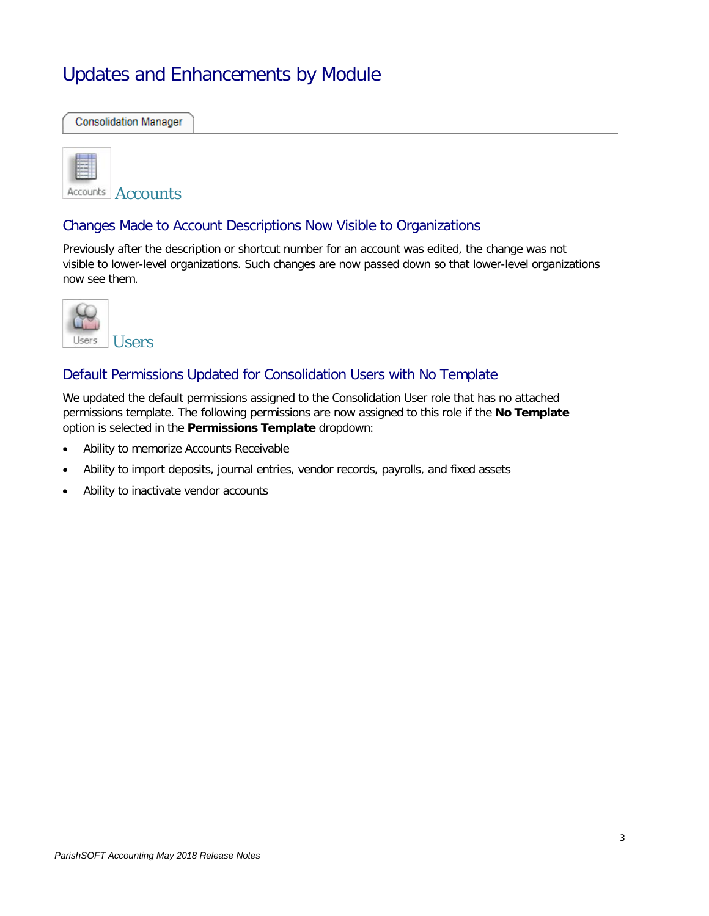## Updates and Enhancements by Module

**Consolidation Manager** 



Accounts Accounts

#### Changes Made to Account Descriptions Now Visible to Organizations

Previously after the description or shortcut number for an account was edited, the change was not visible to lower-level organizations. Such changes are now passed down so that lower-level organizations now see them.



#### Default Permissions Updated for Consolidation Users with No Template

We updated the default permissions assigned to the Consolidation User role that has no attached permissions template. The following permissions are now assigned to this role if the **No Template** option is selected in the **Permissions Template** dropdown:

- Ability to memorize Accounts Receivable
- Ability to import deposits, journal entries, vendor records, payrolls, and fixed assets
- Ability to inactivate vendor accounts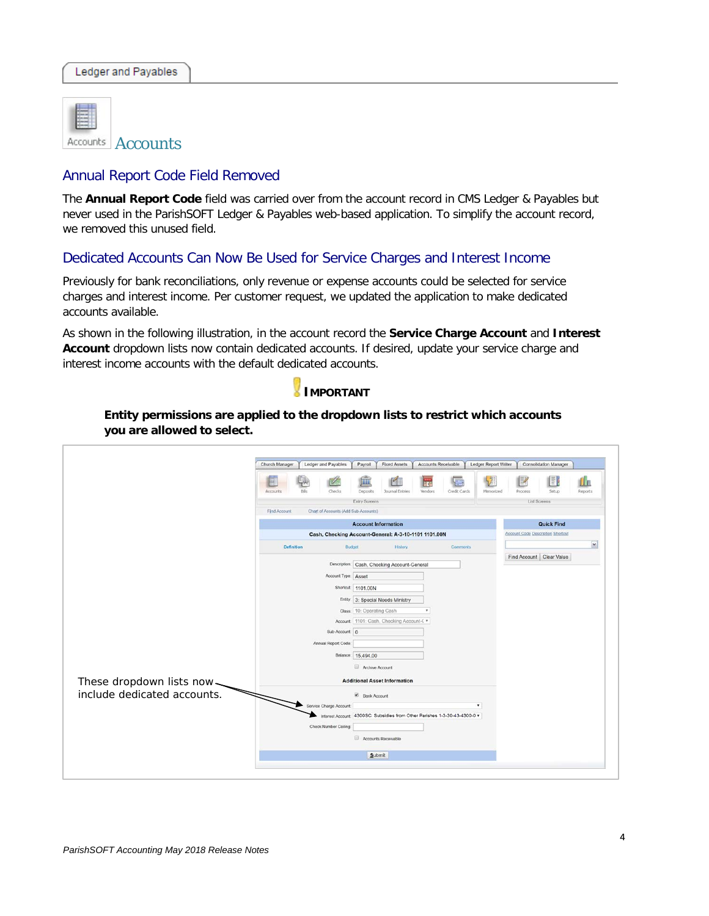

Accounts **Accounts** 

#### Annual Report Code Field Removed

The **Annual Report Code** field was carried over from the account record in CMS Ledger & Payables but never used in the ParishSOFT Ledger & Payables web-based application. To simplify the account record, we removed this unused field.

#### Dedicated Accounts Can Now Be Used for Service Charges and Interest Income

Previously for bank reconciliations, only revenue or expense accounts could be selected for service charges and interest income. Per customer request, we updated the application to make dedicated accounts available.

As shown in the following illustration, in the account record the **Service Charge Account** and **Interest Account** dropdown lists now contain dedicated accounts. If desired, update your service charge and interest income accounts with the default dedicated accounts.



**Entity permissions are applied to the dropdown lists to restrict which accounts you are allowed to select.**

|                             | INI<br>Ш<br>Checks<br>Credit Cards<br>Deposits<br><b>Journal Entries</b><br><b>Vendors</b><br>Memorized<br>Setup<br>Reports<br>Accounts<br>Rilli<br>Process<br>Entry Screens<br><b>List Screens</b> |  |  |  |  |  |  |
|-----------------------------|-----------------------------------------------------------------------------------------------------------------------------------------------------------------------------------------------------|--|--|--|--|--|--|
|                             | Find Account<br>Chart of Accounts (Add Sub-Accounts)                                                                                                                                                |  |  |  |  |  |  |
|                             | <b>Account Information</b><br><b>Quick Find</b>                                                                                                                                                     |  |  |  |  |  |  |
|                             | <b>Account Code Description Shortcut</b><br>Cash, Checking Account-General: A-3-10-1101 1101.00N                                                                                                    |  |  |  |  |  |  |
|                             | $\checkmark$<br>Definition<br>Budget<br><b>History</b><br>Comments                                                                                                                                  |  |  |  |  |  |  |
|                             | Find Account Clear Value<br>Description: Cash, Checking Account-General                                                                                                                             |  |  |  |  |  |  |
|                             | Account Type: Asset                                                                                                                                                                                 |  |  |  |  |  |  |
|                             | Shortcut: 1101.00N                                                                                                                                                                                  |  |  |  |  |  |  |
|                             | Entity: 3: Special Needs Ministry                                                                                                                                                                   |  |  |  |  |  |  |
|                             | Class: 10: Operating Cash<br>۳                                                                                                                                                                      |  |  |  |  |  |  |
|                             | Account: 1101: Cash, Checking Account-C v                                                                                                                                                           |  |  |  |  |  |  |
|                             | Sub-Account: 0                                                                                                                                                                                      |  |  |  |  |  |  |
|                             | Annual Report Code:                                                                                                                                                                                 |  |  |  |  |  |  |
|                             | Balance: 15,494.00                                                                                                                                                                                  |  |  |  |  |  |  |
|                             | Archive Account                                                                                                                                                                                     |  |  |  |  |  |  |
| These dropdown lists now    | <b>Additional Asset Information</b>                                                                                                                                                                 |  |  |  |  |  |  |
| include dedicated accounts. | Bank Account                                                                                                                                                                                        |  |  |  |  |  |  |
|                             | Service Charge Account:<br>$\pmb{\mathrm{v}}$                                                                                                                                                       |  |  |  |  |  |  |
|                             | Interest Account: 4300SC: Subsidies from Other Parishes 1-3-30-43-4300-0 v                                                                                                                          |  |  |  |  |  |  |
|                             | Check Number Ceiling:                                                                                                                                                                               |  |  |  |  |  |  |
|                             | Accounts Receivable                                                                                                                                                                                 |  |  |  |  |  |  |
|                             | Submit                                                                                                                                                                                              |  |  |  |  |  |  |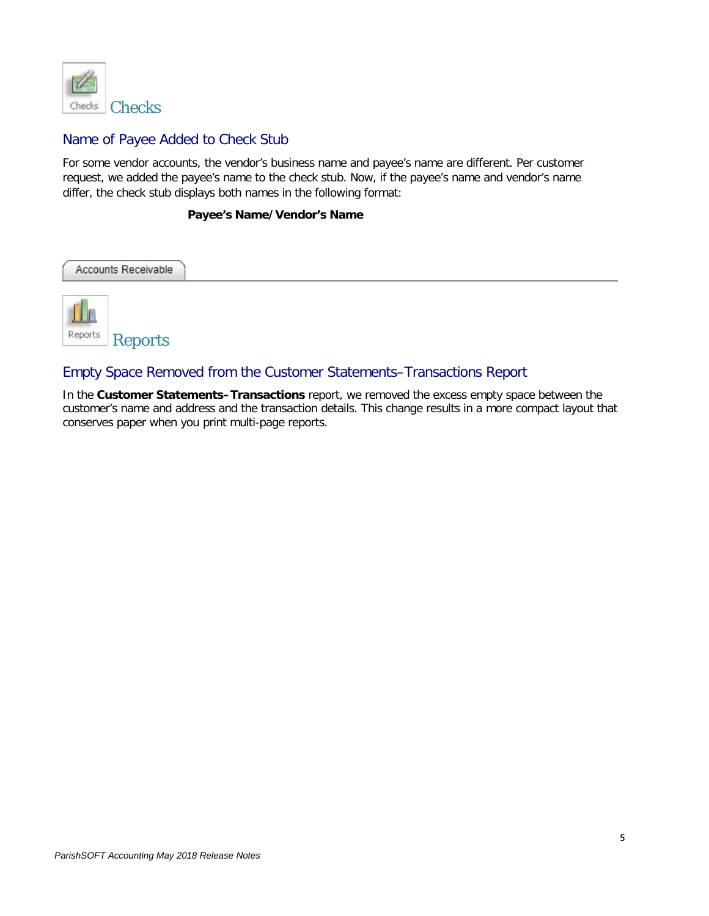

#### Name of Payee Added to Check Stub

For some vendor accounts, the vendor's business name and payee's name are different. Per customer request, we added the payee's name to the check stub. Now, if the payee's name and vendor's name differ, the check stub displays both names in the following format:

#### **Payee's Name/Vendor's Name**

| Accounts Receivable |  |  |
|---------------------|--|--|
| Reports<br>Reports  |  |  |

#### Empty Space Removed from the Customer Statements–Transactions Report

In the **Customer Statements–Transactions** report, we removed the excess empty space between the customer's name and address and the transaction details. This change results in a more compact layout that conserves paper when you print multi-page reports.